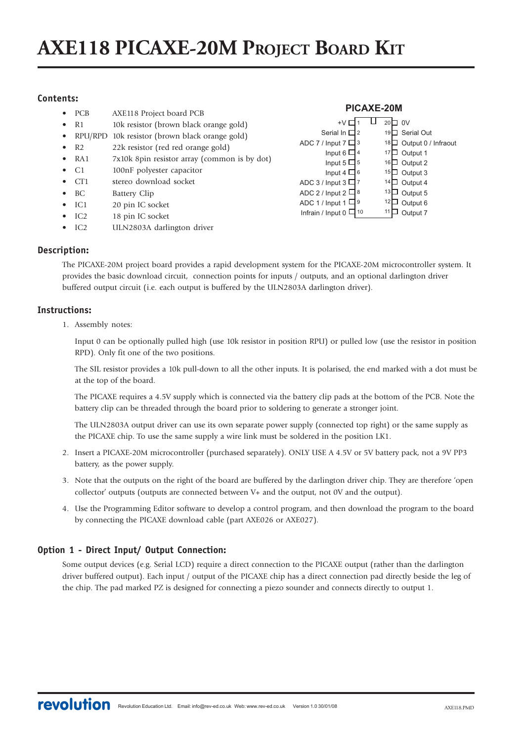# **AXE118 PICAXE-20M PROJECT BOARD KIT**

# **Contents:**

- PCB AXE118 Project board PCB
- R1 10k resistor (brown black orange gold)
- RPU/RPD 10k resistor (brown black orange gold)
- R2 22k resistor (red red orange gold)
- RA1 7x10k 8pin resistor array (common is by dot)
- C1 100nF polyester capacitor
- CT1 stereo download socket
- BC Battery Clip
- IC1 20 pin IC socket
- IC2 18 pin IC socket
- IC2 ULN2803A darlington driver

#### 20□ 0V 19□ Serial Out 18□ Output 0 / Infraout  $17\Box$  Output 1  $16 \Box$  Output 2  $15\Box$  Output 3  $14\Box$  Output 4  $13\Box$  Output 5  $12\Box$  Output 6  $11\Box$  Output 7 +V □ 1 Serial In  $\Box$ ADC 7 / Input 7  $\Box$  3 Input 6  $\Box$  4 Input 5  $\Box$  5 Input 4  $\Box$  6 ADC 3 / Input 3  $\Box$  7 ADC 2 / Input 2  $\Box$  8 ADC 1 / Input 1  $\Box$  9 Infrain / Input 0  $\Box$  10 12 **PICAXE-20M**

### **Description:**

The PICAXE-20M project board provides a rapid development system for the PICAXE-20M microcontroller system. It provides the basic download circuit, connection points for inputs / outputs, and an optional darlington driver buffered output circuit (i.e. each output is buffered by the ULN2803A darlington driver).

### **Instructions:**

1. Assembly notes:

Input 0 can be optionally pulled high (use 10k resistor in position RPU) or pulled low (use the resistor in position RPD). Only fit one of the two positions.

The SIL resistor provides a 10k pull-down to all the other inputs. It is polarised, the end marked with a dot must be at the top of the board.

The PICAXE requires a 4.5V supply which is connected via the battery clip pads at the bottom of the PCB. Note the battery clip can be threaded through the board prior to soldering to generate a stronger joint.

The ULN2803A output driver can use its own separate power supply (connected top right) or the same supply as the PICAXE chip. To use the same supply a wire link must be soldered in the position LK1.

- 2. Insert a PICAXE-20M microcontroller (purchased separately). ONLY USE A 4.5V or 5V battery pack, not a 9V PP3 battery, as the power supply.
- 3. Note that the outputs on the right of the board are buffered by the darlington driver chip. They are therefore 'open collector' outputs (outputs are connected between V+ and the output, not 0V and the output).
- 4. Use the Programming Editor software to develop a control program, and then download the program to the board by connecting the PICAXE download cable (part AXE026 or AXE027).

# **Option 1 - Direct Input/ Output Connection:**

Some output devices (e.g. Serial LCD) require a direct connection to the PICAXE output (rather than the darlington driver buffered output). Each input / output of the PICAXE chip has a direct connection pad directly beside the leg of the chip. The pad marked PZ is designed for connecting a piezo sounder and connects directly to output 1.